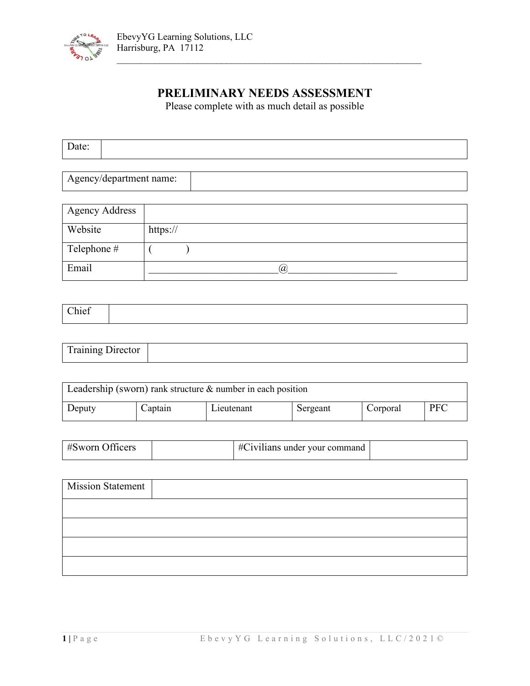

# **PRELIMINARY NEEDS ASSESSMENT**

 $\mathcal{L}_\text{max}$  , and the contract of the contract of the contract of the contract of the contract of the contract of

Please complete with as much detail as possible

| $\overline{\phantom{0}}$<br>Daw. |  |  |
|----------------------------------|--|--|
|                                  |  |  |

Agency/department name:

| <b>Agency Address</b> |          |
|-----------------------|----------|
| Website               | https:// |
| Telephone #           |          |
| Email                 | $\omega$ |

| $T_{\text{reilinear}}$       |  |
|------------------------------|--|
| <b>DITCOMPL</b><br>114111112 |  |

| Leadership (sworn) rank structure $\&$ number in each position |         |            |          |          |            |
|----------------------------------------------------------------|---------|------------|----------|----------|------------|
| Deputy                                                         | Captain | Lieutenant | Sergeant | Corporal | <b>PFC</b> |

| $#S$ worn Officers | #Civilians under your command |  |
|--------------------|-------------------------------|--|

| <b>Mission Statement</b> |  |
|--------------------------|--|
|                          |  |
|                          |  |
|                          |  |
|                          |  |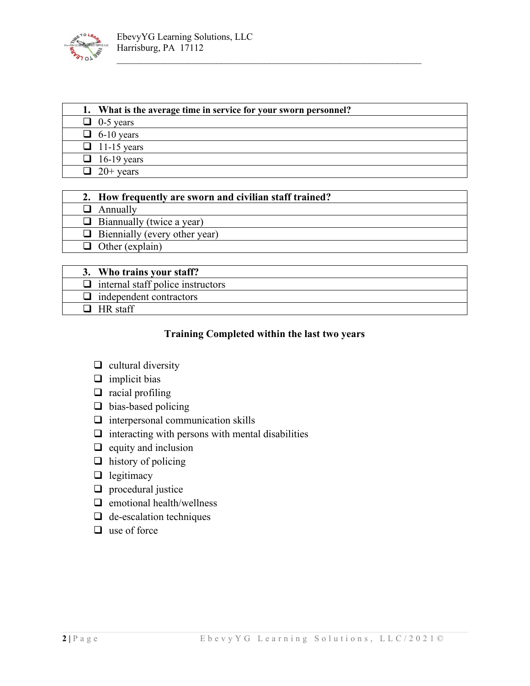

| 1. What is the average time in service for your sworn personnel? |
|------------------------------------------------------------------|
| $\Box$ 0-5 years                                                 |
| $\Box$ 6-10 years                                                |
| $\Box$ 11-15 years                                               |
| $\Box$ 16-19 years                                               |
| $\Box$ 20+ years                                                 |

 $\mathcal{L}_\text{max}$  , and the contract of the contract of the contract of the contract of the contract of the contract of

| 2. How frequently are sworn and civilian staff trained? |
|---------------------------------------------------------|
| $\Box$ Annually                                         |
| $\Box$ Biannually (twice a year)                        |
| $\Box$ Biennially (every other year)                    |
| $\Box$ Other (explain)                                  |
|                                                         |

| 3. Who trains your staff?                |
|------------------------------------------|
| $\Box$ internal staff police instructors |
| $\Box$ independent contractors           |
| $HR$ staff                               |

### **Training Completed within the last two years**

- $\Box$  cultural diversity
- $\Box$  implicit bias
- $\Box$  racial profiling
- □ bias-based policing
- $\Box$  interpersonal communication skills
- $\Box$  interacting with persons with mental disabilities
- $\Box$  equity and inclusion
- $\Box$  history of policing
- $\Box$  legitimacy
- $\Box$  procedural justice
- $\Box$  emotional health/wellness
- $\Box$  de-escalation techniques
- $\Box$  use of force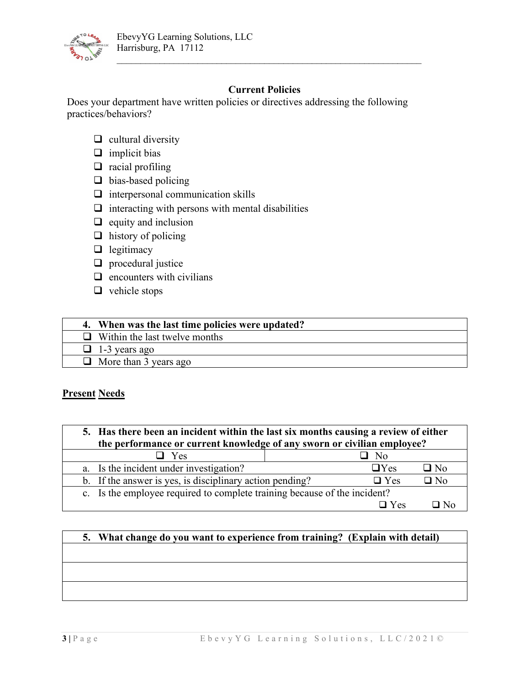

# **Current Policies**

 $\mathcal{L}_\text{max}$  , and the contract of the contract of the contract of the contract of the contract of the contract of

Does your department have written policies or directives addressing the following practices/behaviors?

- $\Box$  cultural diversity
- $\Box$  implicit bias
- $\Box$  racial profiling
- $\Box$  bias-based policing
- $\Box$  interpersonal communication skills
- $\Box$  interacting with persons with mental disabilities
- $\Box$  equity and inclusion
- $\Box$  history of policing
- $\Box$  legitimacy
- $\Box$  procedural justice
- $\Box$  encounters with civilians
- $\Box$  vehicle stops

| 4. When was the last time policies were updated? |
|--------------------------------------------------|
| $\Box$ Within the last twelve months             |
| $\Box$ 1-3 years ago                             |
| $\Box$ More than 3 years ago                     |

## **Present Needs**

| 5. Has there been an incident within the last six months causing a review of either<br>the performance or current knowledge of any sworn or civilian employee? |               |              |  |  |  |
|----------------------------------------------------------------------------------------------------------------------------------------------------------------|---------------|--------------|--|--|--|
| $\Box$ Yes<br>No                                                                                                                                               |               |              |  |  |  |
| a. Is the incident under investigation?                                                                                                                        | $\Box$ Yes    | $\square$ No |  |  |  |
| b. If the answer is yes, is disciplinary action pending?                                                                                                       | $\Box$ Yes    | $\Box$ No    |  |  |  |
| c. Is the employee required to complete training because of the incident?                                                                                      |               |              |  |  |  |
|                                                                                                                                                                | $\square$ Yes |              |  |  |  |

# **5. What change do you want to experience from training? (Explain with detail)**